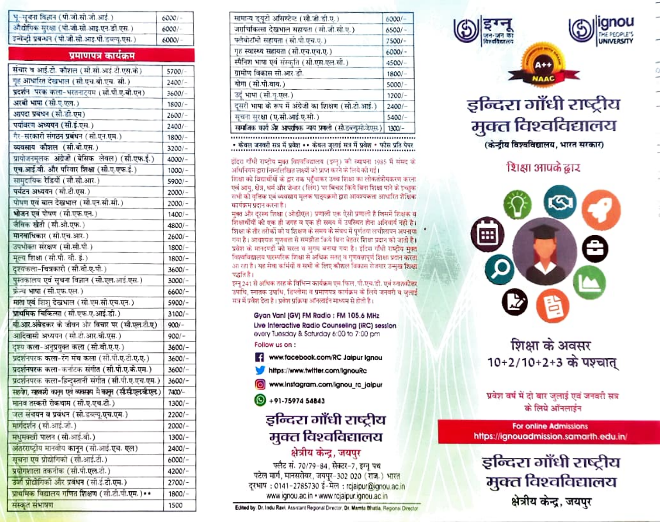| भू-सूचना विज्ञान (पी.जी.सी.जी.आई.)                         | $6000 -$ |
|------------------------------------------------------------|----------|
| औद्योगिक सुरक्षा (पी.जी.सी.आइ.एन.डी.एस.)                   | 6000/    |
| इन्वेन्द्री प्रबन्धन (पी.जी.सी.आइ.पी.डब्ल्यू.एस.)          | $6000/-$ |
| प्रमाणपत्र कार्यक्रम                                       |          |
| संचार व आई.टो. कौशल (सो.सो.आई.टो.एस.के)                    | 5700/-   |
| गृह आधारित देखभाल (सो.एच.बो.एच. सी.)                       | 2400/-   |
| प्रदर्शन परक कला-भरतनाट्यम (सी.पी.ए.बी.एन)                 | 3600/    |
| अरबी भाषा (सी.ए.एल.)                                       | $1800/-$ |
| आपदा प्रबंधन (सी.डी.एम)                                    | 2600/-   |
| पर्यावरण अध्ययन (सी.इं.एस.)                                | 2400/    |
| गैर-सरकारी संगठन प्रबंधन (सी.एन.एम.)                       | $1800/-$ |
| व्यवसाय कौशल (सी.बी.एस.)                                   | 3200/-   |
| प्रायोजनमूलक अंग्रेजी (बेसिक लेवल) (सी.एफ.ई.)              | $4000/-$ |
| एच.आई.वी. और परिवार शिक्षा (सी.ए.एफ.ई.)                    | $1000/-$ |
| सामुदायिक रेडियों (सौ.सो.आर.)                              | 5900/-   |
| पर्यटन अध्ययन (सी.टी.एस.)                                  | 2000/-   |
| पोषण एवं बाल देखभाल (सी.एन.सी.सी.)                         | 2000/-   |
| भोजन एवं पोषण (सो.एफ.एन.)                                  | $1400/-$ |
| जैविक खेती (सी.ओ.एफ.)                                      | 4800/-   |
| मानवाधिकार (सो.एच.आर.)                                     | $2600/-$ |
| उपभोक्ता संरक्षण (सी.सी.पी.)                               | 1800/-   |
| मूल्य शिक्षा (सी.पी. वी. इं.)                              | 1800/-   |
| दृश्यकला-चित्रकारो (सो.वो.ए.पी.)                           | $3600/-$ |
| पुस्तकालय एवं सूचना विज्ञान (सी.एल.आई.एस.)                 | 3000/-   |
| फ्रेन्च भाषा (सी.एफ.एल.)                                   | 6600/-   |
| माता एवं शिशु देखभाल (सी.एम.सी.एच.एन.)                     | 5900/-   |
| प्राथमिक चिकित्सा (सी.एफ.ए.आई.डी.)                         | $3100/-$ |
| वी.आर.अंबेडकर के जोवन और विचार पर (सी.एल.टी.ए)             | $900/-$  |
| आदिवासी अध्ययन (सो.टी.आर.ची.एस.)                           | $900/-$  |
| दृश्य कला-अनुप्रयुक्त कला (सो.वो.ए.ए.)                     | $3600/-$ |
| प्रदर्शनपरक कला-रंग मंच कला (सी.पी.ए.टी.ए.ए.)              | 3600/-   |
| प्रदर्शनपरक कला-कर्नाटक संगीत (सी.पी.ए.के.एम.)             | $3600/-$ |
| प्रदर्शनपरक कला-डिन्दुस्तानी संगीत (सी.पी.ए.एच.एम.)        | 3600/-   |
| स्थले। स्थलमी कमून एवं व्यवस्थ में कामून (सी.सी.एल.बी.एल.) | 7400/-   |
| मानव तस्करी रोकथाम (सी.ए.एच.टी.)                           | $1300/-$ |
| जल संचयन व प्रबंधन (सी.डब्ल्यू.एच.एम.)                     | 2200/-   |
| मार्गदर्शन (सी.आई.जी.)                                     | 2000/-   |
| मधुमक्खी पालन (सो.आई.बी.)                                  | $1300/-$ |
| अंतरराष्ट्रीय मानवीय कानून (सो.आई.एच. एल)                  | $2400/-$ |
| मुचना एवं प्रोद्योगिको (सी.आई.टी.)                         | $6000/-$ |
| प्रयोगशाला तकनीक (सी.पी.एल.टी.)                            | 4200/-   |
| उर्जा प्रोद्योगिको और प्रबंधन (सो.इ.टो.एम.)                | 2700/-   |
| प्राथमिक विद्यालय गणित शिक्षण (सी.टी.पी.एम.) • •           | 1800/-   |
| संस्कृत संभाषण                                             | 1500     |
|                                                            |          |

| सामान्य द्दयुटी असिस्टेन्ट (सी.जी.डी.ए.)                 | 6000/    |
|----------------------------------------------------------|----------|
| जराचिकित्सा देखभाल सहायंता (सी.जी.सी.ए.)                 | 6500/    |
| फ्लैबोटॉमी सहायता (सी.पी.एच.ए.)                          | $7500/-$ |
| गृह स्वास्थ्य सहायता (सी.एच.एच.ए.)                       | $6000/-$ |
| स्पैनिश भाषा एवं संस्कृति (सी.एस.एल.सी.)                 | $4500/-$ |
| ग्रामोण विकास सी.आर.डी.                                  | $1800/-$ |
| योगा (सो.पो.वाय.)                                        | $5000/-$ |
| उद्ं भाषा (सी.यू.एल.)                                    | $1200/-$ |
| दूसरी भाषा के रूप में अंग्रेजी का शिक्षण (सी.टी.आई.)     | $2400/-$ |
| सूचना सुरक्षा (ए.सी.आई.ए.सी.)                            | $5400/-$ |
| समाजिक कार्य और अपराधिक न्यय प्रकली (सो.डब्ल्युसो.जेएस.) | $1300 -$ |

• केवल जनवरी सत्र में प्रवेश •• केवल जुलाई सत्र में प्रवेश • फोस प्रति पेपर

इंदिरा गाँधी राष्ट्रीय मक्त विश्वविद्यालय (इग्नु) को स्थापना 1985 में संसद को अधिनियम द्वारा निम्नलिखित लक्ष्यों को प्राप्त करने के लिये की गई।

शिक्षा को विद्यार्थीयों के द्वार तक पहुँचाकर उच्च शिक्षा का लोकतंत्रीयकरण करना एवं आय, क्षेत्र, धर्म और जेन्डर ( लिंग) पर विचार किये बिना शिक्षा पाने के इच्छक सभी को वृत्तिक एवं व्यवसाय मलक पाठ्यक्रमो द्वारा आवश्यकता आधारित शैक्षिक कार्यक्रम प्रदान करना है।

मक्त और दरस्थ शिक्षा (ओडीएल) प्रणाली एक ऐसी प्रणाली है जिसमें शिक्षक य शिक्षार्थीयों को एक ही जगह व एक ही समय में उपस्थित होना अनिवारों नहीं है। शिक्षा के शौर तरीकों को व शिक्षण के समय के संबंध में पर्णतया लचीलायन अपनाया गया है। आवश्यक गणवता से समझौता किये बिना बेहतर शिक्षा प्रदान की आती है। प्रवेश को मानदण्डों को सरल व सगम बनाया गया है। इंदिरा गाँधी राष्ट्रीय मक्त विश्वविद्यालय पारम्परिक शिक्षा से अधिक सतत व गणवत्तापूर्ण शिक्षा प्रदान करता आ रहा है। यह सेवा कवियों व सभी के लिए कौशल विकास रोजगार उन्मुख शिक्षा पदति है।

इस्त 241 से अधिक तरह के विभिन्न कार्यक्रम एम.फिल, पी.एच.डी. एवं स्नातकोत्तर उपाधि, स्वातक उपाधि, डिप्लोमा व प्रमाणपत्र कार्यक्रम के लिये जनवरी थे जलाई मात्र में प्रवेश देता है। प्रवेश प्रक्रिया आनलाईन माध्यम से होती है।

> Gyan Vanl (GV) FM Radio : FM 105.6 MHz Live Interactive Radio Counseling (IRC) session every Tuesday & Saturday 6:00 to 7:00 pm

Follow us on: www.facebook.com/RC Jaipur Ignou

- https://www.twitter.com/lanouRc
- www.instagram.com/ignou\_rc\_jalpur
- +91-75974 54843

#### इन्दिरा गाँधी राष्टीय मुक्त विश्वविद्यालय क्षेत्रीय केन्द्र, जयपुर

फ्लैट सं. 70/79-84, सेक्टर-7, इग्नु पथ पटेल मार्ग, मानसरोवर, जयपुर-302 020 (राज.) भारत दरभाष: 0141-2785730 ई-मेल: rejaipur@ignou.ac.in www.ignou.ac.in . www.rcjaipur.ignou.ac.in

Edited by: Dr. Indu Ravi. Assistant Regional Director, Dr. Mamta Bhatla, Regional Director



# डन्दिरा गाँधी राष्टीय मक्त विश्वविद्यालय

(केन्दीय विश्वविद्यालय, भारत सरकार)

#### शिक्षा आपके ढ़ार



### शिक्षा के अवसर 10+2/10+2+3 के पश्चात्

प्रवेश वर्ष में दो बार जुलाई एवं जनवरी सत्र के लिये ऑनलाइन

**For online Admissions** https://ignouadmission.samarth.edu.in

इन्दिरा गाँधी राष्ट्रीय मुक्त विश्वविद्यालय क्षेत्रीय केन्द्र, जयपर